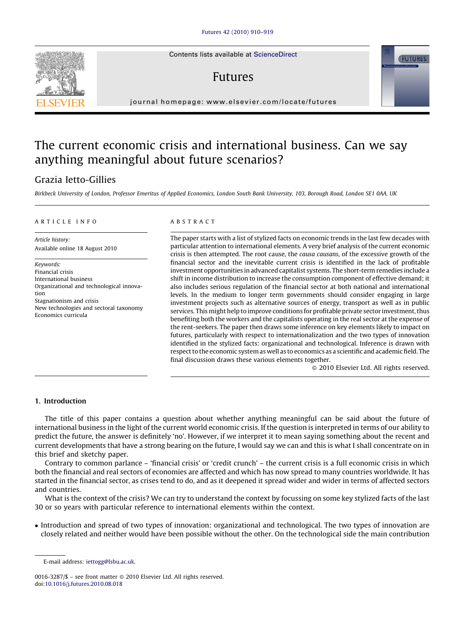Contents lists available at [ScienceDirect](http://www.sciencedirect.com/science/journal/00163287)

# Futures

journal homepage: www.elsevier.com/locate/futures

# The current economic crisis and international business. Can we say anything meaningful about future scenarios?

## Grazia Ietto-Gillies

Birkbeck University of London, Professor Emeritus of Applied Economics, London South Bank University, 103, Borough Road, London SE1 0AA, UK

#### ARTICLE INFO

Article history: Available online 18 August 2010

Keywords: Financial crisis International business Organizational and technological innovation Stagnationism and crisis New technologies and sectoral taxonomy Economics curricula

#### **ABSTRACT**

The paper starts with a list of stylized facts on economic trends in the last few decades with particular attention to international elements. A very brief analysis of the current economic crisis is then attempted. The root cause, the causa causans, of the excessive growth of the financial sector and the inevitable current crisis is identified in the lack of profitable investment opportunities in advanced capitalist systems. The short-term remedies include a shift in income distribution to increase the consumption component of effective demand; it also includes serious regulation of the financial sector at both national and international levels. In the medium to longer term governments should consider engaging in large investment projects such as alternative sources of energy, transport as well as in public services. This might help to improve conditions for profitable private sector investment, thus benefiting both the workers and the capitalists operating in the real sector at the expense of the rent-seekers. The paper then draws some inference on key elements likely to impact on futures, particularly with respect to internationalization and the two types of innovation identified in the stylized facts: organizational and technological. Inference is drawn with respect to the economic system as well as to economics as a scientific and academic field. The final discussion draws these various elements together.

- 2010 Elsevier Ltd. All rights reserved.

### 1. Introduction

The title of this paper contains a question about whether anything meaningful can be said about the future of international business in the light of the current world economic crisis. If the question is interpreted in terms of our ability to predict the future, the answer is definitely 'no'. However, if we interpret it to mean saying something about the recent and current developments that have a strong bearing on the future, I would say we can and this is what I shall concentrate on in this brief and sketchy paper.

Contrary to common parlance – 'financial crisis' or 'credit crunch' – the current crisis is a full economic crisis in which both the financial and real sectors of economies are affected and which has now spread to many countries worldwide. It has started in the financial sector, as crises tend to do, and as it deepened it spread wider and wider in terms of affected sectors and countries.

What is the context of the crisis? We can try to understand the context by focussing on some key stylized facts of the last 30 or so years with particular reference to international elements within the context.

- Introduction and spread of two types of innovation: organizational and technological. The two types of innovation are closely related and neither would have been possible without the other. On the technological side the main contribution





E-mail address: [iettogg@lsbu.ac.uk.](mailto:iettogg@lsbu.ac.uk)

<sup>0016-3287/\$ –</sup> see front matter © 2010 Elsevier Ltd. All rights reserved. doi[:10.1016/j.futures.2010.08.018](http://dx.doi.org/10.1016/j.futures.2010.08.018)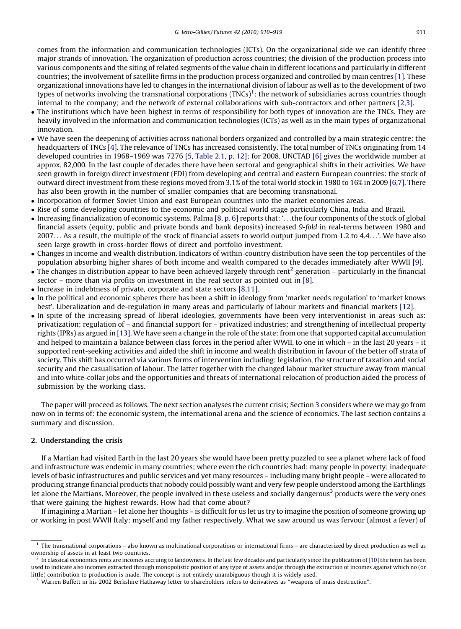comes from the information and communication technologies (ICTs). On the organizational side we can identify three major strands of innovation. The organization of production across countries; the division of the production process into various components and the siting of related segments of the value chain in different locations and particularly in different countries; the involvement of satellite firms in the production process organized and controlled by main centres [\[1\]](#page--1-0). These organizational innovations have led to changes in the international division of labour as well as to the development of two types of networks involving the transnational corporations (TNCs)<sup>1</sup>: the network of subsidiaries across countries though internal to the company; and the network of external collaborations with sub-contractors and other partners [\[2,3\].](#page--1-0)

- The institutions which have been highest in terms of responsibility for both types of innovation are the TNCs. They are heavily involved in the information and communication technologies (ICTs) as well as in the main types of organizational innovation.
- We have seen the deepening of activities across national borders organized and controlled by a main strategic centre: the headquarters of TNCs [\[4\]](#page--1-0). The relevance of TNCs has increased consistently. The total number of TNCs originating from 14 developed countries in 1968–1969 was 7276 [\[5, Table 2.1, p. 12\];](#page--1-0) for 2008, UNCTAD [\[6\]](#page--1-0) gives the worldwide number at approx. 82,000. In the last couple of decades there have been sectoral and geographical shifts in their activities. We have seen growth in foreign direct investment (FDI) from developing and central and eastern European countries: the stock of outward direct investment from these regions moved from 3.1% of the total world stock in 1980 to 16% in 2009 [\[6,7\].](#page--1-0) There has also been growth in the number of smaller companies that are becoming transnational.
- Incorporation of former Soviet Union and east European countries into the market economies areas.
- Rise of some developing countries to the economic and political world stage particularly China, India and Brazil.
- Increasing financialization of economic systems. Palma [\[8, p. 6\]](#page--1-0) reports that: '...the four components of the stock of global financial assets (equity, public and private bonds and bank deposits) increased 9-fold in real-terms between 1980 and 2007... As a result, the multiple of the stock of financial assets to world output jumped from 1.2 to 4.4...'. We have also seen large growth in cross-border flows of direct and portfolio investment.
- Changes in income and wealth distribution. Indicators of within-country distribution have seen the top percentiles of the population absorbing higher shares of both income and wealth compared to the decades immediately after WWII [\[9\]](#page--1-0).
- $\bullet$  The changes in distribution appear to have been achieved largely through rent<sup>2</sup> generation particularly in the financial sector – more than via profits on investment in the real sector as pointed out in [\[8\].](#page--1-0)
- Increase in indebtness of private, corporate and state sectors [\[8,11\]](#page--1-0).
- In the political and economic spheres there has been a shift in ideology from 'market needs regulation' to 'market knows best'. Liberalization and de-regulation in many areas and particularly of labour markets and financial markets [\[12\]](#page--1-0).
- In spite of the increasing spread of liberal ideologies, governments have been very interventionist in areas such as: privatization; regulation of – and financial support for – privatized industries; and strengthening of intellectual property rights (IPRs) as argued in [\[13\].](#page--1-0) We have seen a change in the role of the state: from one that supported capital accumulation and helped to maintain a balance between class forces in the period after WWII, to one in which – in the last 20 years – it supported rent-seeking activities and aided the shift in income and wealth distribution in favour of the better off strata of society. This shift has occurred via various forms of intervention including: legislation, the structure of taxation and social security and the casualisation of labour. The latter together with the changed labour market structure away from manual and into white-collar jobs and the opportunities and threats of international relocation of production aided the process of submission by the working class.

The paper will proceed as follows. The next section analyses the current crisis; Section [3](#page--1-0) considers where we may go from now on in terms of: the economic system, the international arena and the science of economics. The last section contains a summary and discussion.

#### 2. Understanding the crisis

If a Martian had visited Earth in the last 20 years she would have been pretty puzzled to see a planet where lack of food and infrastructure was endemic in many countries; where even the rich countries had: many people in poverty; inadequate levels of basic infrastructures and public services and yet many resources – including many bright people – were allocated to producing strange financial products that nobody could possibly want and very few people understood among the Earthlings let alone the Martians. Moreover, the people involved in these useless and socially dangerous<sup>3</sup> products were the very ones that were gaining the highest rewards. How had that come about?

If imagining a Martian – let alone her thoughts – is difficult for us let us try to imagine the position of someone growing up or working in post WWII Italy: myself and my father respectively. What we saw around us was fervour (almost a fever) of

<sup>&</sup>lt;sup>1</sup> The transnational corporations – also known as multinational corporations or international firms – are characterized by direct production as well as ownership of assets in at least two countries.

 $2\,$  In classical economics rents are incomes accruing to landowners. In the last few decades and particularly since the publication of [\[10\]](#page--1-0) the term has been used to indicate also incomes extracted through monopolistic position of any type of assets and/or through the extraction of incomes against which no (or little) contribution to production is made. The concept is not entirely unambiguous though it is widely used.

 $3$  Warren Buffett in his 2002 Berkshire Hathaway letter to shareholders refers to derivatives as "weapons of mass destruction".